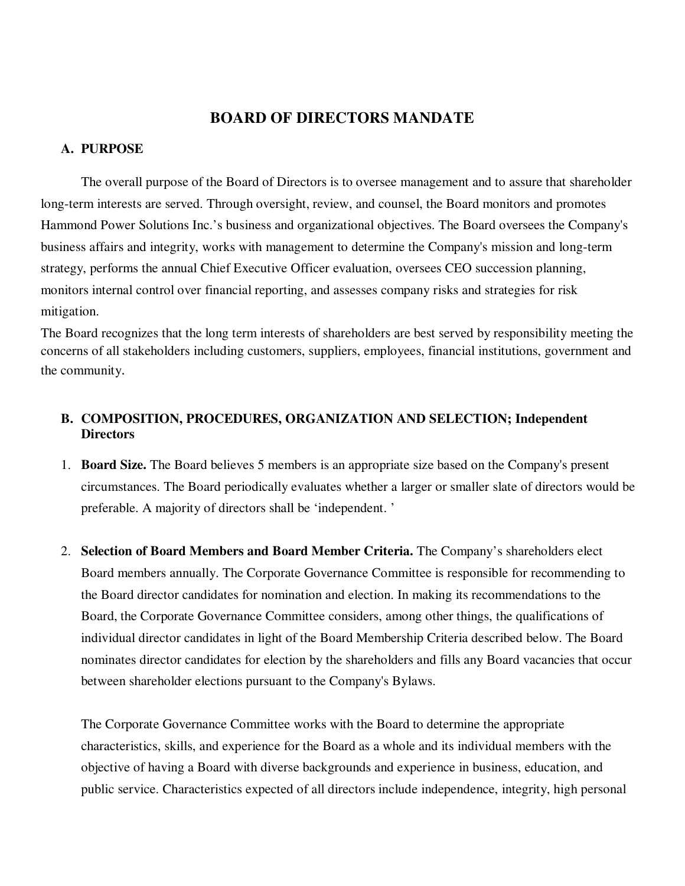## **BOARD OF DIRECTORS MANDATE**

#### **A. PURPOSE**

The overall purpose of the Board of Directors is to oversee management and to assure that shareholder long-term interests are served. Through oversight, review, and counsel, the Board monitors and promotes Hammond Power Solutions Inc.'s business and organizational objectives. The Board oversees the Company's business affairs and integrity, works with management to determine the Company's mission and long-term strategy, performs the annual Chief Executive Officer evaluation, oversees CEO succession planning, monitors internal control over financial reporting, and assesses company risks and strategies for risk mitigation.

The Board recognizes that the long term interests of shareholders are best served by responsibility meeting the concerns of all stakeholders including customers, suppliers, employees, financial institutions, government and the community.

## **B. COMPOSITION, PROCEDURES, ORGANIZATION AND SELECTION; Independent Directors**

- 1. **Board Size.** The Board believes 5 members is an appropriate size based on the Company's present circumstances. The Board periodically evaluates whether a larger or smaller slate of directors would be preferable. A majority of directors shall be 'independent. '
- 2. **Selection of Board Members and Board Member Criteria.** The Company's shareholders elect Board members annually. The Corporate Governance Committee is responsible for recommending to the Board director candidates for nomination and election. In making its recommendations to the Board, the Corporate Governance Committee considers, among other things, the qualifications of individual director candidates in light of the Board Membership Criteria described below. The Board nominates director candidates for election by the shareholders and fills any Board vacancies that occur between shareholder elections pursuant to the Company's Bylaws.

The Corporate Governance Committee works with the Board to determine the appropriate characteristics, skills, and experience for the Board as a whole and its individual members with the objective of having a Board with diverse backgrounds and experience in business, education, and public service. Characteristics expected of all directors include independence, integrity, high personal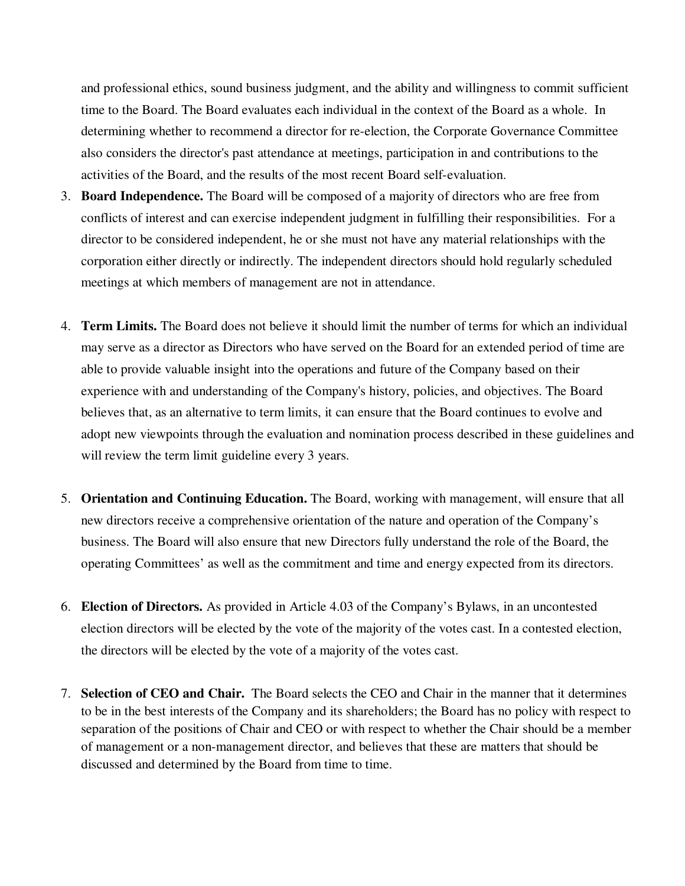and professional ethics, sound business judgment, and the ability and willingness to commit sufficient time to the Board. The Board evaluates each individual in the context of the Board as a whole. In determining whether to recommend a director for re-election, the Corporate Governance Committee also considers the director's past attendance at meetings, participation in and contributions to the activities of the Board, and the results of the most recent Board self-evaluation.

- 3. **Board Independence.** The Board will be composed of a majority of directors who are free from conflicts of interest and can exercise independent judgment in fulfilling their responsibilities. For a director to be considered independent, he or she must not have any material relationships with the corporation either directly or indirectly. The independent directors should hold regularly scheduled meetings at which members of management are not in attendance.
- 4. **Term Limits.** The Board does not believe it should limit the number of terms for which an individual may serve as a director as Directors who have served on the Board for an extended period of time are able to provide valuable insight into the operations and future of the Company based on their experience with and understanding of the Company's history, policies, and objectives. The Board believes that, as an alternative to term limits, it can ensure that the Board continues to evolve and adopt new viewpoints through the evaluation and nomination process described in these guidelines and will review the term limit guideline every 3 years.
- 5. **Orientation and Continuing Education.** The Board, working with management, will ensure that all new directors receive a comprehensive orientation of the nature and operation of the Company's business. The Board will also ensure that new Directors fully understand the role of the Board, the operating Committees' as well as the commitment and time and energy expected from its directors.
- 6. **Election of Directors.** As provided in Article 4.03 of the Company's Bylaws, in an uncontested election directors will be elected by the vote of the majority of the votes cast. In a contested election, the directors will be elected by the vote of a majority of the votes cast.
- 7. **Selection of CEO and Chair.** The Board selects the CEO and Chair in the manner that it determines to be in the best interests of the Company and its shareholders; the Board has no policy with respect to separation of the positions of Chair and CEO or with respect to whether the Chair should be a member of management or a non-management director, and believes that these are matters that should be discussed and determined by the Board from time to time.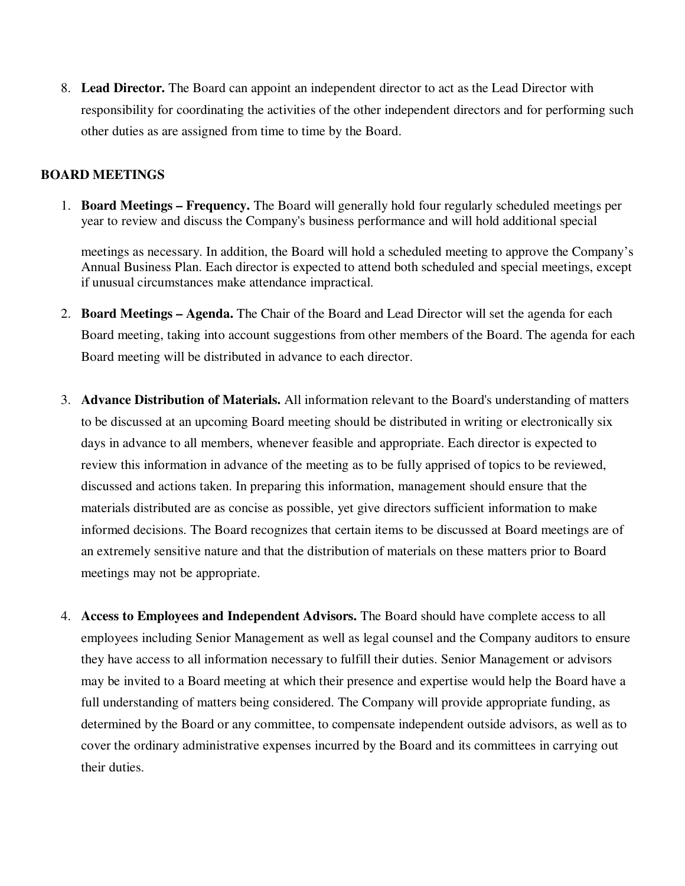8. **Lead Director.** The Board can appoint an independent director to act as the Lead Director with responsibility for coordinating the activities of the other independent directors and for performing such other duties as are assigned from time to time by the Board.

### **BOARD MEETINGS**

1. **Board Meetings – Frequency.** The Board will generally hold four regularly scheduled meetings per year to review and discuss the Company's business performance and will hold additional special

meetings as necessary. In addition, the Board will hold a scheduled meeting to approve the Company's Annual Business Plan. Each director is expected to attend both scheduled and special meetings, except if unusual circumstances make attendance impractical.

- 2. **Board Meetings Agenda.** The Chair of the Board and Lead Director will set the agenda for each Board meeting, taking into account suggestions from other members of the Board. The agenda for each Board meeting will be distributed in advance to each director.
- 3. **Advance Distribution of Materials.** All information relevant to the Board's understanding of matters to be discussed at an upcoming Board meeting should be distributed in writing or electronically six days in advance to all members, whenever feasible and appropriate. Each director is expected to review this information in advance of the meeting as to be fully apprised of topics to be reviewed, discussed and actions taken. In preparing this information, management should ensure that the materials distributed are as concise as possible, yet give directors sufficient information to make informed decisions. The Board recognizes that certain items to be discussed at Board meetings are of an extremely sensitive nature and that the distribution of materials on these matters prior to Board meetings may not be appropriate.
- 4. **Access to Employees and Independent Advisors.** The Board should have complete access to all employees including Senior Management as well as legal counsel and the Company auditors to ensure they have access to all information necessary to fulfill their duties. Senior Management or advisors may be invited to a Board meeting at which their presence and expertise would help the Board have a full understanding of matters being considered. The Company will provide appropriate funding, as determined by the Board or any committee, to compensate independent outside advisors, as well as to cover the ordinary administrative expenses incurred by the Board and its committees in carrying out their duties.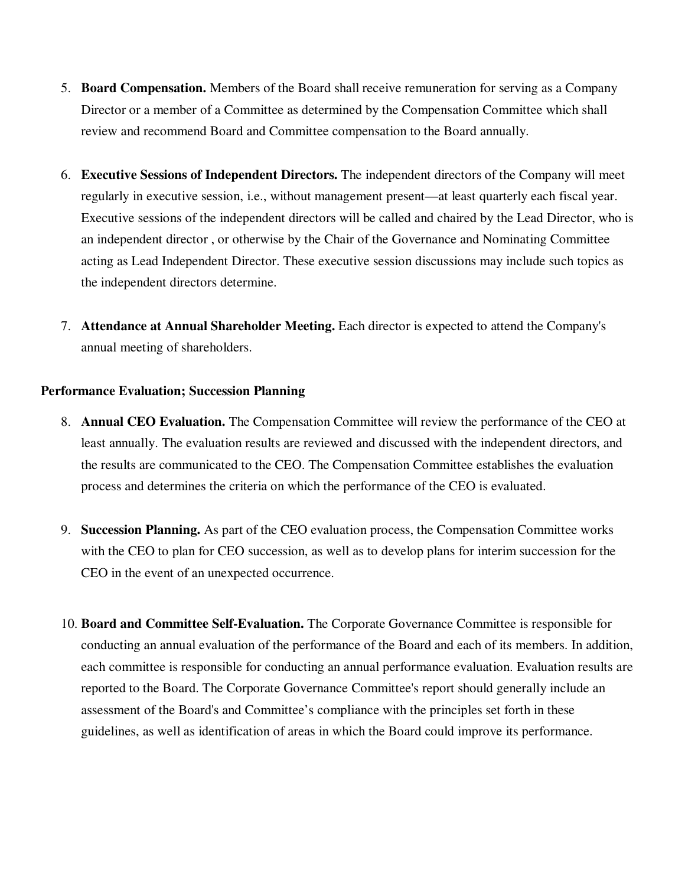- 5. **Board Compensation.** Members of the Board shall receive remuneration for serving as a Company Director or a member of a Committee as determined by the Compensation Committee which shall review and recommend Board and Committee compensation to the Board annually.
- 6. **Executive Sessions of Independent Directors.** The independent directors of the Company will meet regularly in executive session, i.e., without management present—at least quarterly each fiscal year. Executive sessions of the independent directors will be called and chaired by the Lead Director, who is an independent director , or otherwise by the Chair of the Governance and Nominating Committee acting as Lead Independent Director. These executive session discussions may include such topics as the independent directors determine.
- 7. **Attendance at Annual Shareholder Meeting.** Each director is expected to attend the Company's annual meeting of shareholders.

### **Performance Evaluation; Succession Planning**

- 8. **Annual CEO Evaluation.** The Compensation Committee will review the performance of the CEO at least annually. The evaluation results are reviewed and discussed with the independent directors, and the results are communicated to the CEO. The Compensation Committee establishes the evaluation process and determines the criteria on which the performance of the CEO is evaluated.
- 9. **Succession Planning.** As part of the CEO evaluation process, the Compensation Committee works with the CEO to plan for CEO succession, as well as to develop plans for interim succession for the CEO in the event of an unexpected occurrence.
- 10. **Board and Committee Self-Evaluation.** The Corporate Governance Committee is responsible for conducting an annual evaluation of the performance of the Board and each of its members. In addition, each committee is responsible for conducting an annual performance evaluation. Evaluation results are reported to the Board. The Corporate Governance Committee's report should generally include an assessment of the Board's and Committee's compliance with the principles set forth in these guidelines, as well as identification of areas in which the Board could improve its performance.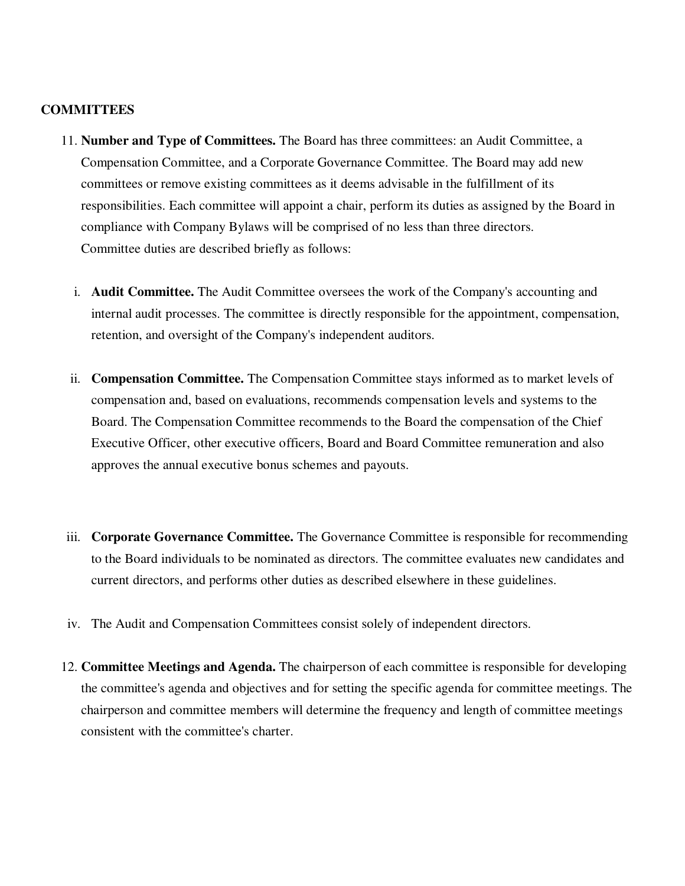#### **COMMITTEES**

- 11. **Number and Type of Committees.** The Board has three committees: an Audit Committee, a Compensation Committee, and a Corporate Governance Committee. The Board may add new committees or remove existing committees as it deems advisable in the fulfillment of its responsibilities. Each committee will appoint a chair, perform its duties as assigned by the Board in compliance with Company Bylaws will be comprised of no less than three directors. Committee duties are described briefly as follows:
	- i. **Audit Committee.** The Audit Committee oversees the work of the Company's accounting and internal audit processes. The committee is directly responsible for the appointment, compensation, retention, and oversight of the Company's independent auditors.
	- ii. **Compensation Committee.** The Compensation Committee stays informed as to market levels of compensation and, based on evaluations, recommends compensation levels and systems to the Board. The Compensation Committee recommends to the Board the compensation of the Chief Executive Officer, other executive officers, Board and Board Committee remuneration and also approves the annual executive bonus schemes and payouts.
- iii. **Corporate Governance Committee.** The Governance Committee is responsible for recommending to the Board individuals to be nominated as directors. The committee evaluates new candidates and current directors, and performs other duties as described elsewhere in these guidelines.
- iv. The Audit and Compensation Committees consist solely of independent directors.
- 12. **Committee Meetings and Agenda.** The chairperson of each committee is responsible for developing the committee's agenda and objectives and for setting the specific agenda for committee meetings. The chairperson and committee members will determine the frequency and length of committee meetings consistent with the committee's charter.